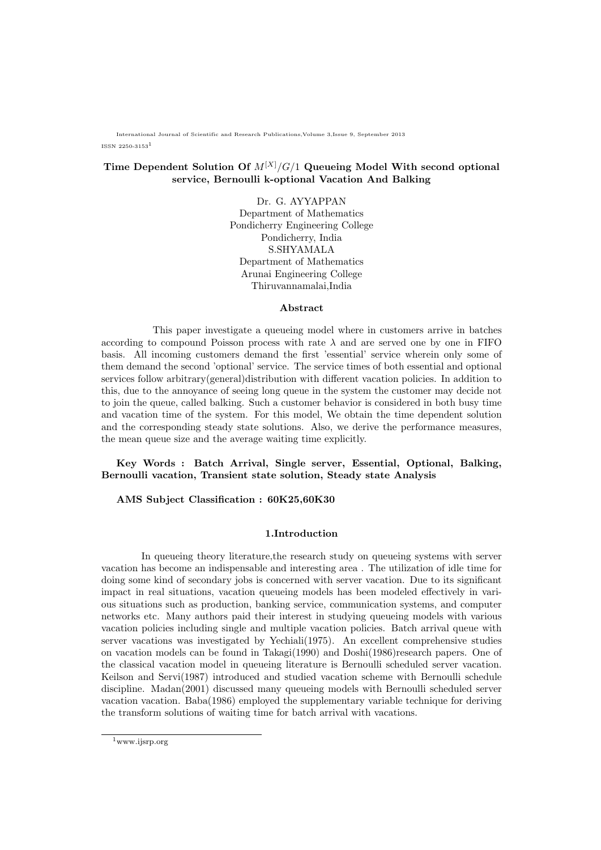International Journal of Scientific and Research Publications,Volume 3,Issue 9, September 2013

ISSN 2250-31531

# Time Dependent Solution Of  $M^{[X]}/G/1$  Queueing Model With second optional service, Bernoulli k-optional Vacation And Balking

Dr. G. AYYAPPAN Department of Mathematics Pondicherry Engineering College Pondicherry, India S.SHYAMALA Department of Mathematics Arunai Engineering College Thiruvannamalai,India

#### Abstract

This paper investigate a queueing model where in customers arrive in batches according to compound Poisson process with rate  $\lambda$  and are served one by one in FIFO basis. All incoming customers demand the first 'essential' service wherein only some of them demand the second 'optional' service. The service times of both essential and optional services follow arbitrary(general)distribution with different vacation policies. In addition to this, due to the annoyance of seeing long queue in the system the customer may decide not to join the queue, called balking. Such a customer behavior is considered in both busy time and vacation time of the system. For this model, We obtain the time dependent solution and the corresponding steady state solutions. Also, we derive the performance measures, the mean queue size and the average waiting time explicitly.

Key Words : Batch Arrival, Single server, Essential, Optional, Balking, Bernoulli vacation, Transient state solution, Steady state Analysis

AMS Subject Classification : 60K25,60K30

#### 1.Introduction

In queueing theory literature,the research study on queueing systems with server vacation has become an indispensable and interesting area . The utilization of idle time for doing some kind of secondary jobs is concerned with server vacation. Due to its significant impact in real situations, vacation queueing models has been modeled effectively in various situations such as production, banking service, communication systems, and computer networks etc. Many authors paid their interest in studying queueing models with various vacation policies including single and multiple vacation policies. Batch arrival queue with server vacations was investigated by Yechiali(1975). An excellent comprehensive studies on vacation models can be found in Takagi(1990) and Doshi(1986)research papers. One of the classical vacation model in queueing literature is Bernoulli scheduled server vacation. Keilson and Servi(1987) introduced and studied vacation scheme with Bernoulli schedule discipline. Madan(2001) discussed many queueing models with Bernoulli scheduled server vacation vacation. Baba(1986) employed the supplementary variable technique for deriving the transform solutions of waiting time for batch arrival with vacations.

<sup>1</sup>www.ijsrp.org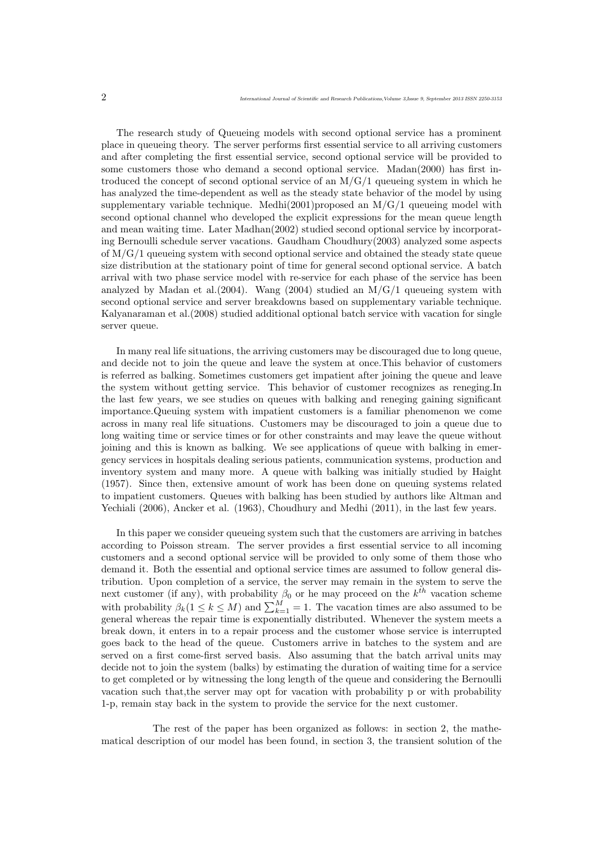The research study of Queueing models with second optional service has a prominent place in queueing theory. The server performs first essential service to all arriving customers and after completing the first essential service, second optional service will be provided to some customers those who demand a second optional service. Madan(2000) has first introduced the concept of second optional service of an  $M/G/1$  queueing system in which he has analyzed the time-dependent as well as the steady state behavior of the model by using supplementary variable technique. Medhi(2001)proposed an  $M/G/1$  queueing model with second optional channel who developed the explicit expressions for the mean queue length and mean waiting time. Later Madhan(2002) studied second optional service by incorporating Bernoulli schedule server vacations. Gaudham Choudhury(2003) analyzed some aspects of  $M/G/1$  queueing system with second optional service and obtained the steady state queue size distribution at the stationary point of time for general second optional service. A batch arrival with two phase service model with re-service for each phase of the service has been analyzed by Madan et al.(2004). Wang (2004) studied an  $M/G/1$  queueing system with second optional service and server breakdowns based on supplementary variable technique. Kalyanaraman et al.(2008) studied additional optional batch service with vacation for single server queue.

In many real life situations, the arriving customers may be discouraged due to long queue, and decide not to join the queue and leave the system at once.This behavior of customers is referred as balking. Sometimes customers get impatient after joining the queue and leave the system without getting service. This behavior of customer recognizes as reneging.In the last few years, we see studies on queues with balking and reneging gaining significant importance.Queuing system with impatient customers is a familiar phenomenon we come across in many real life situations. Customers may be discouraged to join a queue due to long waiting time or service times or for other constraints and may leave the queue without joining and this is known as balking. We see applications of queue with balking in emergency services in hospitals dealing serious patients, communication systems, production and inventory system and many more. A queue with balking was initially studied by Haight (1957). Since then, extensive amount of work has been done on queuing systems related to impatient customers. Queues with balking has been studied by authors like Altman and Yechiali (2006), Ancker et al. (1963), Choudhury and Medhi (2011), in the last few years.

In this paper we consider queueing system such that the customers are arriving in batches according to Poisson stream. The server provides a first essential service to all incoming customers and a second optional service will be provided to only some of them those who demand it. Both the essential and optional service times are assumed to follow general distribution. Upon completion of a service, the server may remain in the system to serve the next customer (if any), with probability  $\beta_0$  or he may proceed on the  $k^{th}$  vacation scheme with probability  $\beta_k (1 \leq k \leq M)$  and  $\sum_{k=1}^{M} = 1$ . The vacation times are also assumed to be general whereas the repair time is exponentially distributed. Whenever the system meets a break down, it enters in to a repair process and the customer whose service is interrupted goes back to the head of the queue. Customers arrive in batches to the system and are served on a first come-first served basis. Also assuming that the batch arrival units may decide not to join the system (balks) by estimating the duration of waiting time for a service to get completed or by witnessing the long length of the queue and considering the Bernoulli vacation such that,the server may opt for vacation with probability p or with probability 1-p, remain stay back in the system to provide the service for the next customer.

The rest of the paper has been organized as follows: in section 2, the mathematical description of our model has been found, in section 3, the transient solution of the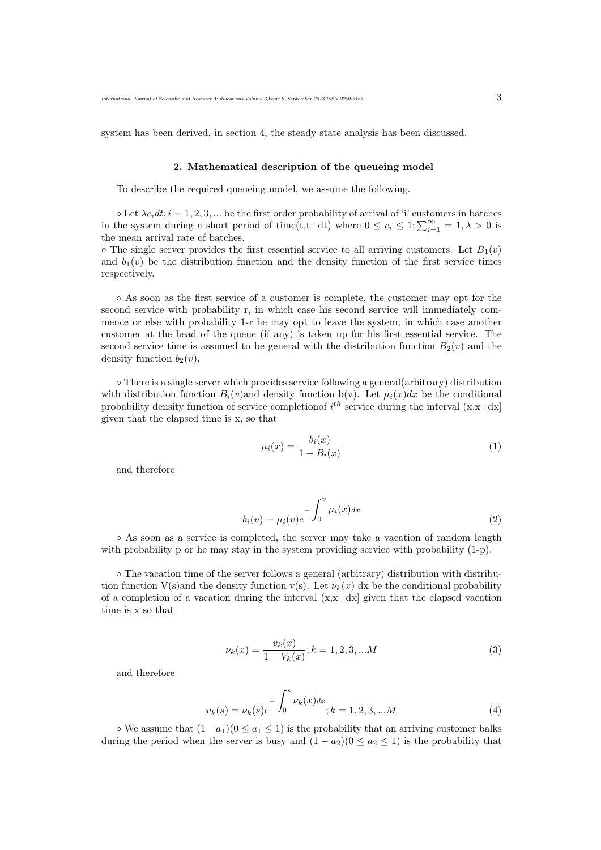system has been derived, in section 4, the steady state analysis has been discussed.

#### 2. Mathematical description of the queueing model

To describe the required queueing model, we assume the following.

 $\circ$  Let  $\lambda c_i dt$ ;  $i = 1, 2, 3, ...$  be the first order probability of arrival of 'i' customers in batches in the system during a short period of time(t,t+dt) where  $0 \le c_i \le 1$ ;  $\sum_{i=1}^{\infty} = 1, \lambda > 0$  is the mean arrival rate of batches.

 $\circ$  The single server provides the first essential service to all arriving customers. Let  $B_1(v)$ and  $b_1(v)$  be the distribution function and the density function of the first service times respectively.

◦ As soon as the first service of a customer is complete, the customer may opt for the second service with probability r, in which case his second service will immediately commence or else with probability 1-r he may opt to leave the system, in which case another customer at the head of the queue (if any) is taken up for his first essential service. The second service time is assumed to be general with the distribution function  $B_2(v)$  and the density function  $b_2(v)$ .

◦ There is a single server which provides service following a general(arbitrary) distribution with distribution function  $B_i(v)$  and density function b(v). Let  $\mu_i(x)dx$  be the conditional probability density function of service completion of  $i^{th}$  service during the interval  $(x, x+dx)$ given that the elapsed time is x, so that

$$
\mu_i(x) = \frac{b_i(x)}{1 - B_i(x)}\tag{1}
$$

and therefore

$$
b_i(v) = \mu_i(v)e^{-\int_0^v \mu_i(x)dx}
$$
\n(2)

◦ As soon as a service is completed, the server may take a vacation of random length with probability p or he may stay in the system providing service with probability  $(1-p)$ .

◦ The vacation time of the server follows a general (arbitrary) distribution with distribution function V(s)and the density function v(s). Let  $\nu_k(x)$  dx be the conditional probability of a completion of a vacation during the interval  $(x, x+dx)$  given that the elapsed vacation time is x so that

$$
\nu_k(x) = \frac{v_k(x)}{1 - V_k(x)}; k = 1, 2, 3, \dots M
$$
\n(3)

and therefore

$$
v_k(s) = \nu_k(s)e^{-\int_0^s \nu_k(x)dx}; k = 1, 2, 3, ...M
$$
\n(4)

 $\circ$  We assume that  $(1-a_1)(0 \le a_1 \le 1)$  is the probability that an arriving customer balks during the period when the server is busy and  $(1 - a_2)(0 \le a_2 \le 1)$  is the probability that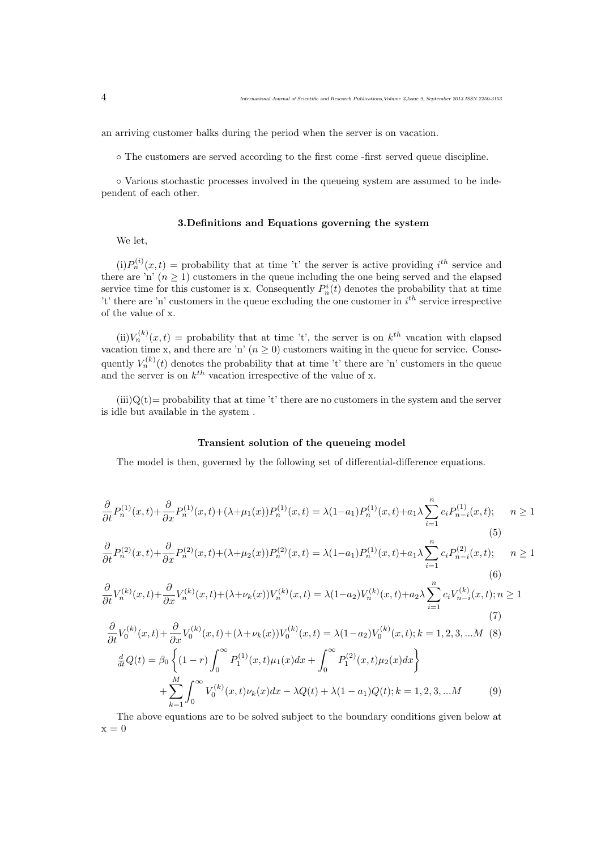an arriving customer balks during the period when the server is on vacation.

◦ The customers are served according to the first come -first served queue discipline.

◦ Various stochastic processes involved in the queueing system are assumed to be independent of each other.

### 3.Definitions and Equations governing the system

We let,

 $(i)P_n^{(i)}(x,t)$  = probability that at time 't' the server is active providing  $i^{th}$  service and there are 'n'  $(n \geq 1)$  customers in the queue including the one being served and the elapsed service time for this customer is x. Consequently  $P_n^i(t)$  denotes the probability that at time 't' there are 'n' customers in the queue excluding the one customer in  $i<sup>th</sup>$  service irrespective of the value of x.

(ii) $V_n^{(k)}(x,t)$  = probability that at time 't', the server is on  $k^{th}$  vacation with elapsed vacation time x, and there are 'n'  $(n \geq 0)$  customers waiting in the queue for service. Consequently  $V_n^{(k)}(t)$  denotes the probability that at time 't' there are 'n' customers in the queue and the server is on  $k^{th}$  vacation irrespective of the value of x.

 $(iii)Q(t)$ = probability that at time 't' there are no customers in the system and the server is idle but available in the system .

### Transient solution of the queueing model

The model is then, governed by the following set of differential-difference equations.

$$
\frac{\partial}{\partial t}P_n^{(1)}(x,t) + \frac{\partial}{\partial x}P_n^{(1)}(x,t) + (\lambda + \mu_1(x))P_n^{(1)}(x,t) = \lambda(1-a_1)P_n^{(1)}(x,t) + a_1\lambda \sum_{i=1}^n c_i P_{n-i}^{(1)}(x,t); \quad n \ge 1
$$
\n(5)

$$
\frac{\partial}{\partial t}P_n^{(2)}(x,t) + \frac{\partial}{\partial x}P_n^{(2)}(x,t) + (\lambda + \mu_2(x))P_n^{(2)}(x,t) = \lambda(1-a_1)P_n^{(1)}(x,t) + a_1\lambda \sum_{i=1}^n c_i P_{n-i}^{(2)}(x,t); \quad n \ge 1
$$
\n(6)

$$
\frac{\partial}{\partial t}V_n^{(k)}(x,t) + \frac{\partial}{\partial x}V_n^{(k)}(x,t) + (\lambda + \nu_k(x))V_n^{(k)}(x,t) = \lambda(1-a_2)V_n^{(k)}(x,t) + a_2\lambda \sum_{i=1}^n c_i V_{n-i}^{(k)}(x,t); n \ge 1
$$
\n(7)

$$
\frac{\partial}{\partial t}V_0^{(k)}(x,t) + \frac{\partial}{\partial x}V_0^{(k)}(x,t) + (\lambda + \nu_k(x))V_0^{(k)}(x,t) = \lambda(1 - a_2)V_0^{(k)}(x,t); k = 1, 2, 3, ...M
$$
\n(8)\n
$$
\frac{d}{dt}Q(t) = \beta_0 \left\{ (1 - r) \int_0^\infty P_1^{(1)}(x,t)\mu_1(x)dx + \int_0^\infty P_1^{(2)}(x,t)\mu_2(x)dx \right\}
$$
\n
$$
+ \sum_{k=1}^M \int_0^\infty V_0^{(k)}(x,t)\nu_k(x)dx - \lambda Q(t) + \lambda(1 - a_1)Q(t); k = 1, 2, 3, ...M
$$
\n(9)

The above equations are to be solved subject to the boundary conditions given below at  $x = 0$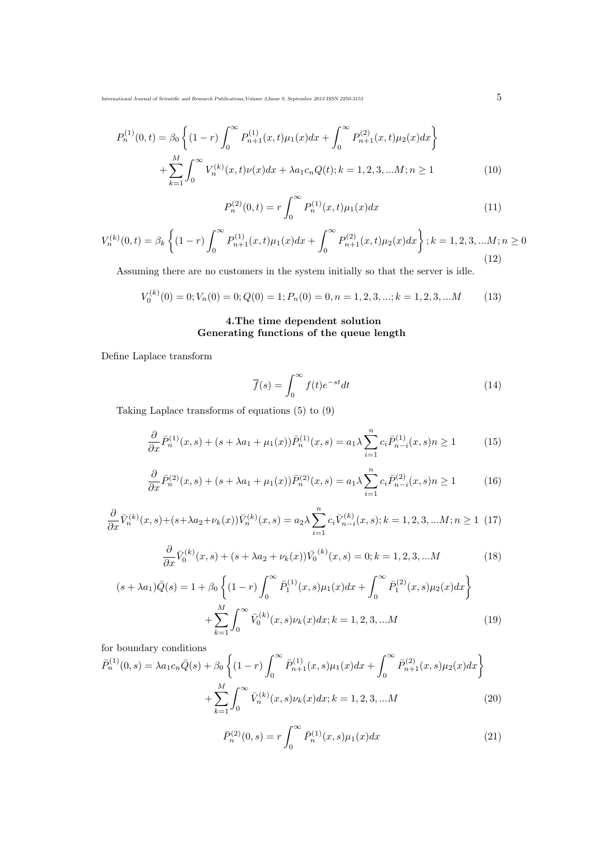International Journal of Scientific and Research Publications,Volume 3,Issue 9, September 2013 ISSN 2250-3153  $\hspace{1cm}5$ 

$$
P_n^{(1)}(0,t) = \beta_0 \left\{ (1-r) \int_0^\infty P_{n+1}^{(1)}(x,t) \mu_1(x) dx + \int_0^\infty P_{n+1}^{(2)}(x,t) \mu_2(x) dx \right\} + \sum_{k=1}^M \int_0^\infty V_n^{(k)}(x,t) \nu(x) dx + \lambda a_1 c_n Q(t); k = 1, 2, 3, \dots M; n \ge 1
$$
 (10)

$$
P_n^{(2)}(0,t) = r \int_0^\infty P_n^{(1)}(x,t)\mu_1(x)dx\tag{11}
$$

$$
V_n^{(k)}(0,t) = \beta_k \left\{ (1-r) \int_0^\infty P_{n+1}^{(1)}(x,t) \mu_1(x) dx + \int_0^\infty P_{n+1}^{(2)}(x,t) \mu_2(x) dx \right\}; k = 1, 2, 3, \dots M; n \ge 0
$$
\n(12)

Assuming there are no customers in the system initially so that the server is idle.

$$
V_0^{(k)}(0) = 0; V_n(0) = 0; Q(0) = 1; P_n(0) = 0, n = 1, 2, 3, \dots; k = 1, 2, 3, \dots M \tag{13}
$$

# 4.The time dependent solution Generating functions of the queue length

Define Laplace transform

$$
\overline{f}(s) = \int_0^\infty f(t)e^{-st}dt
$$
\n(14)

Taking Laplace transforms of equations (5) to (9)

$$
\frac{\partial}{\partial x}\bar{P}_n^{(1)}(x,s) + (s + \lambda a_1 + \mu_1(x))\bar{P}_n^{(1)}(x,s) = a_1 \lambda \sum_{i=1}^n c_i \bar{P}_{n-i}^{(1)}(x,s) n \ge 1 \tag{15}
$$

$$
\frac{\partial}{\partial x}\bar{P}_n^{(2)}(x,s) + (s + \lambda a_1 + \mu_1(x))\bar{P}_n^{(2)}(x,s) = a_1 \lambda \sum_{i=1}^n c_i \bar{P}_{n-i}^{(2)}(x,s) n \ge 1 \tag{16}
$$

$$
\frac{\partial}{\partial x}\bar{V}_n^{(k)}(x,s) + (s + \lambda a_2 + \nu_k(x))\bar{V}_n^{(k)}(x,s) = a_2 \lambda \sum_{i=1}^n c_i \bar{V}_{n-i}^{(k)}(x,s); k = 1, 2, 3, \dots M; n \ge 1
$$
 (17)

$$
\frac{\partial}{\partial x}\bar{V}_0^{(k)}(x,s) + (s + \lambda a_2 + \nu_k(x))\bar{V}_0^{(k)}(x,s) = 0; k = 1, 2, 3, \dots M
$$
\n(18)

$$
(s + \lambda a_1)\bar{Q}(s) = 1 + \beta_0 \left\{ (1 - r) \int_0^\infty \bar{P}_1^{(1)}(x, s) \mu_1(x) dx + \int_0^\infty \bar{P}_1^{(2)}(x, s) \mu_2(x) dx \right\} + \sum_{k=1}^M \int_0^\infty \bar{V}_0^{(k)}(x, s) \nu_k(x) dx; k = 1, 2, 3, \dots M
$$
 (19)

for boundary conditions

$$
\bar{P}_n^{(1)}(0,s) = \lambda a_1 c_n \bar{Q}(s) + \beta_0 \left\{ (1-r) \int_0^\infty \bar{P}_{n+1}^{(1)}(x,s) \mu_1(x) dx + \int_0^\infty \bar{P}_{n+1}^{(2)}(x,s) \mu_2(x) dx \right\} + \sum_{k=1}^M \int_0^\infty \bar{V}_n^{(k)}(x,s) \nu_k(x) dx; k = 1, 2, 3, \dots M
$$
\n(20)

$$
\bar{P}_n^{(2)}(0,s) = r \int_0^\infty \bar{P}_n^{(1)}(x,s)\mu_1(x)dx \tag{21}
$$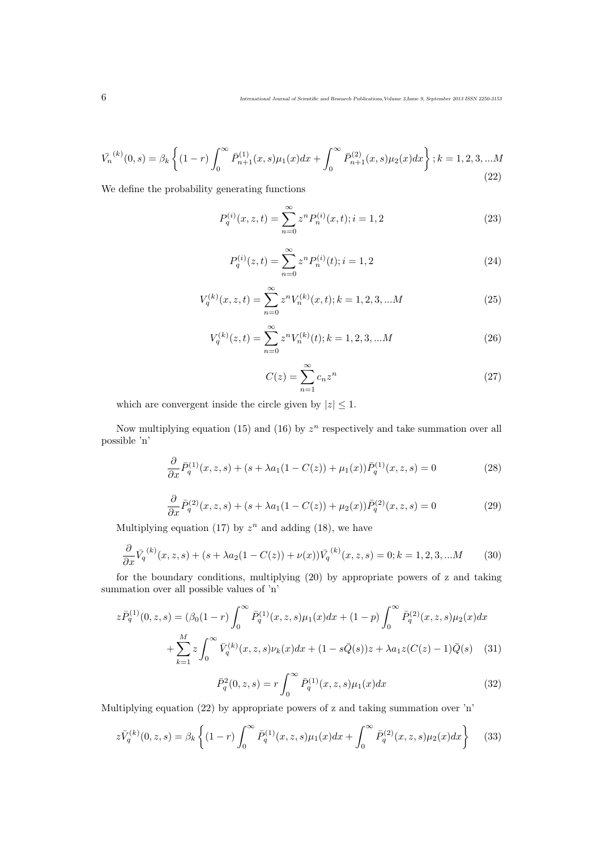$$
\bar{V_n}^{(k)}(0,s) = \beta_k \left\{ (1-r) \int_0^\infty \bar{P}_{n+1}^{(1)}(x,s) \mu_1(x) dx + \int_0^\infty \bar{P}_{n+1}^{(2)}(x,s) \mu_2(x) dx \right\}; k = 1, 2, 3, \dots M
$$
\n(22)

We define the probability generating functions

$$
P_q^{(i)}(x, z, t) = \sum_{n=0}^{\infty} z^n P_n^{(i)}(x, t); i = 1, 2
$$
\n(23)

$$
P_q^{(i)}(z,t) = \sum_{n=0}^{\infty} z^n P_n^{(i)}(t); i = 1,2
$$
\n(24)

$$
V_q^{(k)}(x, z, t) = \sum_{n=0}^{\infty} z^n V_n^{(k)}(x, t); k = 1, 2, 3, \dots M
$$
 (25)

$$
V_q^{(k)}(z,t) = \sum_{n=0}^{\infty} z^n V_n^{(k)}(t); k = 1, 2, 3, \dots M
$$
 (26)

$$
C(z) = \sum_{n=1}^{\infty} c_n z^n
$$
\n(27)

which are convergent inside the circle given by  $|z| \leq 1$ .

Now multiplying equation (15) and (16) by  $z^n$  respectively and take summation over all possible 'n'

$$
\frac{\partial}{\partial x}\bar{P}_q^{(1)}(x,z,s) + (s + \lambda a_1(1 - C(z)) + \mu_1(x))\bar{P}_q^{(1)}(x,z,s) = 0
$$
\n(28)

$$
\frac{\partial}{\partial x}\bar{P}_q^{(2)}(x,z,s) + (s + \lambda a_1(1 - C(z)) + \mu_2(x))\bar{P}_q^{(2)}(x,z,s) = 0
$$
\n(29)

Multiplying equation (17) by  $z^n$  and adding (18), we have

$$
\frac{\partial}{\partial x}\bar{V}_q^{(k)}(x,z,s) + (s + \lambda a_2(1 - C(z)) + \nu(x))\bar{V}_q^{(k)}(x,z,s) = 0; k = 1,2,3,...M
$$
 (30)

for the boundary conditions, multiplying (20) by appropriate powers of z and taking summation over all possible values of 'n'

$$
z\bar{P}_q^{(1)}(0,z,s) = (\beta_0(1-r)\int_0^\infty \bar{P}_q^{(1)}(x,z,s)\mu_1(x)dx + (1-p)\int_0^\infty \bar{P}_q^{(2)}(x,z,s)\mu_2(x)dx + \sum_{k=1}^M z \int_0^\infty \bar{V}_q^{(k)}(x,z,s)\nu_k(x)dx + (1-s\bar{Q}(s))z + \lambda a_1 z(C(z)-1)\bar{Q}(s)
$$
(31)

$$
\bar{P}_q^2(0, z, s) = r \int_0^\infty \bar{P}_q^{(1)}(x, z, s) \mu_1(x) dx \tag{32}
$$

Multiplying equation (22) by appropriate powers of z and taking summation over 'n'

$$
z\bar{V}_q^{(k)}(0,z,s) = \beta_k \left\{ (1-r) \int_0^\infty \bar{P}_q^{(1)}(x,z,s)\mu_1(x)dx + \int_0^\infty \bar{P}_q^{(2)}(x,z,s)\mu_2(x)dx \right\}
$$
(33)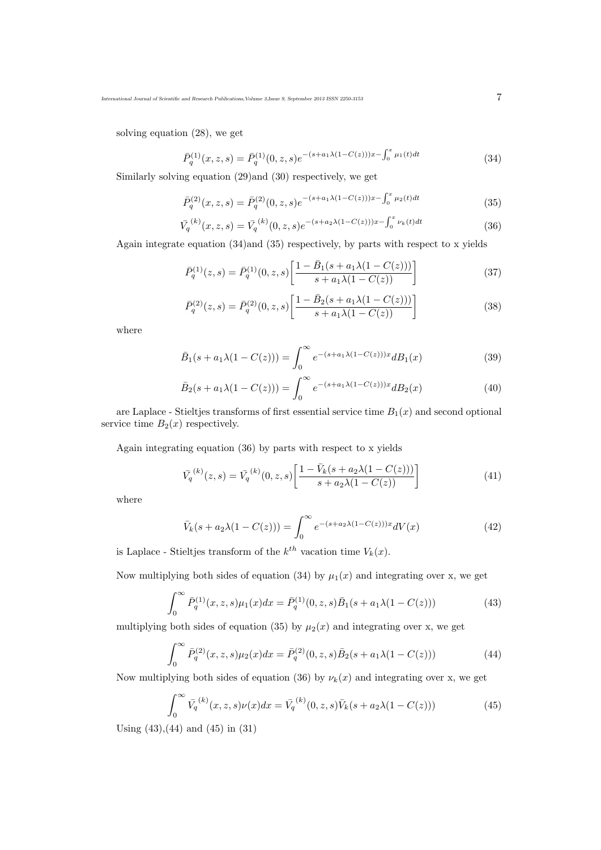solving equation (28), we get

$$
\bar{P}_q^{(1)}(x,z,s) = \bar{P}_q^{(1)}(0,z,s)e^{-(s+a_1\lambda(1-C(z)))x - \int_0^x \mu_1(t)dt}
$$
\n(34)

Similarly solving equation (29)and (30) respectively, we get

$$
\bar{P}_q^{(2)}(x,z,s) = \bar{P}_q^{(2)}(0,z,s)e^{-(s+a_1\lambda(1-C(z)))x - \int_0^x \mu_2(t)dt}
$$
\n(35)

$$
\bar{V}_q^{(k)}(x,z,s) = \bar{V}_q^{(k)}(0,z,s)e^{-(s+a_2\lambda(1-C(z)))x - \int_0^x \nu_k(t)dt}
$$
\n(36)

Again integrate equation (34)and (35) respectively, by parts with respect to x yields

$$
\bar{P}_q^{(1)}(z,s) = \bar{P}_q^{(1)}(0,z,s) \left[ \frac{1 - \bar{B}_1(s + a_1 \lambda (1 - C(z)))}{s + a_1 \lambda (1 - C(z))} \right]
$$
\n(37)

$$
\bar{P}_q^{(2)}(z,s) = \bar{P}_q^{(2)}(0,z,s) \left[ \frac{1 - \bar{B}_2(s + a_1 \lambda (1 - C(z)))}{s + a_1 \lambda (1 - C(z))} \right]
$$
\n(38)

where

$$
\bar{B}_1(s + a_1 \lambda (1 - C(z))) = \int_0^\infty e^{-(s + a_1 \lambda (1 - C(z)))x} d B_1(x)
$$
\n(39)

$$
\bar{B}_2(s + a_1 \lambda (1 - C(z))) = \int_0^\infty e^{-(s + a_1 \lambda (1 - C(z)))x} d B_2(x)
$$
\n(40)

are Laplace - Stieltjes transforms of first essential service time  $B_1(x)$  and second optional service time  $B_2(x)$  respectively.

Again integrating equation (36) by parts with respect to x yields

$$
\bar{V}_q^{(k)}(z,s) = \bar{V}_q^{(k)}(0,z,s) \left[ \frac{1 - \bar{V}_k(s + a_2 \lambda (1 - C(z)))}{s + a_2 \lambda (1 - C(z))} \right]
$$
\n(41)

where

$$
\bar{V}_k(s + a_2 \lambda (1 - C(z))) = \int_0^\infty e^{-(s + a_2 \lambda (1 - C(z)))x} dV(x)
$$
\n(42)

is Laplace - Stieltjes transform of the  $k^{th}$  vacation time  $V_k(x)$ .

Now multiplying both sides of equation (34) by  $\mu_1(x)$  and integrating over x, we get

$$
\int_0^\infty \bar{P}_q^{(1)}(x, z, s) \mu_1(x) dx = \bar{P}_q^{(1)}(0, z, s) \bar{B}_1(s + a_1 \lambda (1 - C(z))) \tag{43}
$$

multiplying both sides of equation (35) by  $\mu_2(x)$  and integrating over x, we get

$$
\int_0^\infty \bar{P}_q^{(2)}(x, z, s) \mu_2(x) dx = \bar{P}_q^{(2)}(0, z, s) \bar{B}_2(s + a_1 \lambda (1 - C(z))) \tag{44}
$$

Now multiplying both sides of equation (36) by  $\nu_k(x)$  and integrating over x, we get

$$
\int_0^\infty \bar{V}_q^{(k)}(x, z, s)\nu(x)dx = \bar{V}_q^{(k)}(0, z, s)\bar{V}_k(s + a_2\lambda(1 - C(z)))\tag{45}
$$

Using (43),(44) and (45) in (31)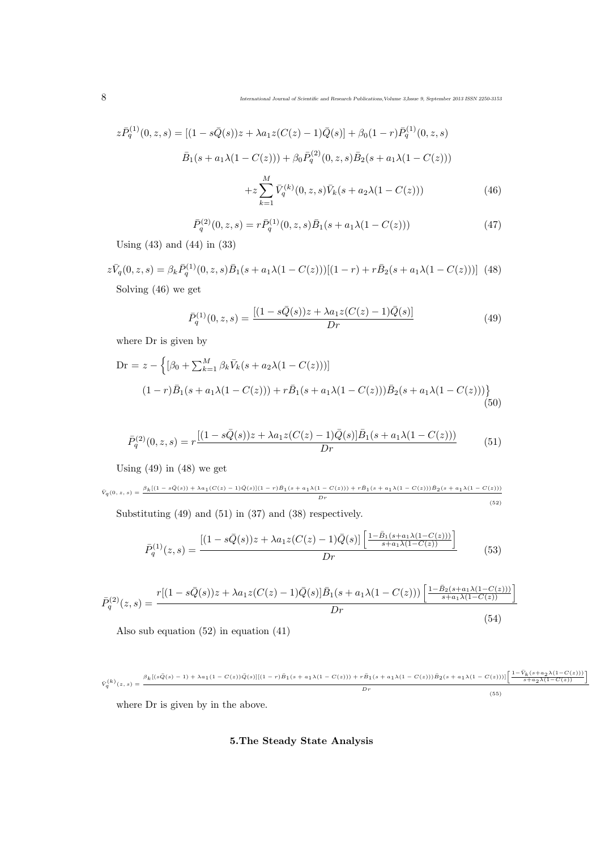$$
z\bar{P}_q^{(1)}(0,z,s) = [(1 - s\bar{Q}(s))z + \lambda a_1 z(C(z) - 1)\bar{Q}(s)] + \beta_0(1 - r)\bar{P}_q^{(1)}(0,z,s)
$$
  

$$
\bar{B}_1(s + a_1\lambda(1 - C(z))) + \beta_0 \bar{P}_q^{(2)}(0,z,s)\bar{B}_2(s + a_1\lambda(1 - C(z)))
$$
  

$$
+ z \sum_{k=1}^M \bar{V}_q^{(k)}(0,z,s)\bar{V}_k(s + a_2\lambda(1 - C(z)))
$$
(46)

$$
\bar{P}_q^{(2)}(0, z, s) = r \bar{P}_q^{(1)}(0, z, s) \bar{B}_1(s + a_1 \lambda (1 - C(z)))
$$
\n(47)

Using (43) and (44) in (33)

$$
z\bar{V}_q(0, z, s) = \beta_k \bar{P}_q^{(1)}(0, z, s)\bar{B}_1(s + a_1\lambda(1 - C(z)))[(1 - r) + r\bar{B}_2(s + a_1\lambda(1 - C(z)))]
$$
(48)  
Solving (46) we get

$$
\bar{P}_q^{(1)}(0,z,s) = \frac{[(1 - s\bar{Q}(s))z + \lambda a_1 z(C(z) - 1)\bar{Q}(s)]}{Dr}
$$
(49)

where Dr is given by

Dr = 
$$
z - \left\{ [\beta_0 + \sum_{k=1}^{M} \beta_k \bar{V}_k (s + a_2 \lambda (1 - C(z)))] \right\}
$$
  
\n
$$
(1 - r) \bar{B}_1 (s + a_1 \lambda (1 - C(z))) + r \bar{B}_1 (s + a_1 \lambda (1 - C(z))) \bar{B}_2 (s + a_1 \lambda (1 - C(z))) \right\}
$$
\n(50)

$$
\bar{P}_q^{(2)}(0,z,s) = r \frac{[(1 - s\bar{Q}(s))z + \lambda a_1 z(C(z) - 1)\bar{Q}(s)]\bar{B}_1(s + a_1\lambda(1 - C(z)))}{Dr}
$$
(51)

Using (49) in (48) we get

$$
\bar{V}_q(0, z, s) = \frac{\beta_k [(1 - s\bar{Q}(s)) + \lambda a_1 (C(z) - 1)\bar{Q}(s)](1 - r)\bar{B}_1 (s + a_1 \lambda (1 - C(z))) + r\bar{B}_1 (s + a_1 \lambda (1 - C(z)))\bar{B}_2 (s + a_1 \lambda (1 - C(z)))}{Dr}
$$
\n(52)

Substituting (49) and (51) in (37) and (38) respectively.

$$
\bar{P}_q^{(1)}(z,s) = \frac{\left[ (1 - s\bar{Q}(s))z + \lambda a_1 z(C(z) - 1)\bar{Q}(s) \right] \left[ \frac{1 - \bar{B}_1(s + a_1 \lambda (1 - C(z)))}{s + a_1 \lambda (1 - C(z))} \right]}{Dr}
$$
(53)

$$
\bar{P}_q^{(2)}(z,s) = \frac{r[(1 - s\bar{Q}(s))z + \lambda a_1 z(C(z) - 1)\bar{Q}(s)]\bar{B}_1(s + a_1\lambda(1 - C(z)))\left[\frac{1 - \bar{B}_2(s + a_1\lambda(1 - C(z)))}{s + a_1\lambda(1 - C(z))}\right]}{Dr}
$$
\n(54)

Also sub equation (52) in equation (41)

$$
\bar{V}_q^{(k)}(z,s) = \frac{\beta_k[(s\bar{Q}(s)-1)+\lambda a_1(1-C(z))\bar{Q}(s)][(1-r)\bar{B}_1(s+a_1\lambda(1-C(z)))+r\bar{B}_1(s+a_1\lambda(1-C(z)))\bar{B}_2(s+a_1\lambda(1-C(z)))][\left[\frac{1-\bar{V}_k(s+a_2\lambda(1-C(z)))}{s+a_2\lambda(1-C(z))}\right]}{Dr} \eqno(55)
$$

where Dr is given by in the above.

# 5.The Steady State Analysis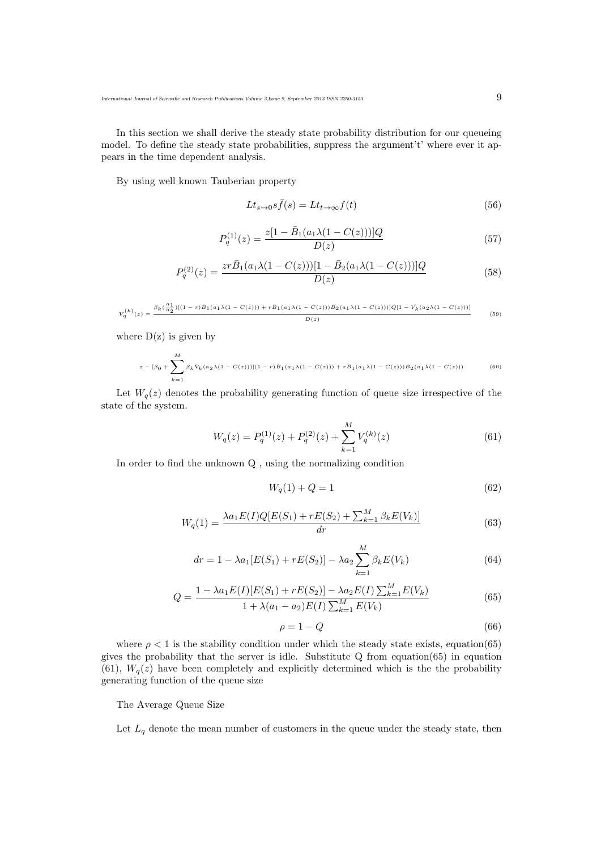In this section we shall derive the steady state probability distribution for our queueing model. To define the steady state probabilities, suppress the argument't' where ever it appears in the time dependent analysis.

By using well known Tauberian property

$$
Lt_{s\to 0}s\bar{f}(s) = Lt_{t\to\infty}f(t)
$$
\n(56)

$$
P_q^{(1)}(z) = \frac{z[1 - \bar{B}_1(a_1\lambda(1 - C(z)))]Q}{D(z)}
$$
(57)

$$
P_q^{(2)}(z) = \frac{zr\bar{B}_1(a_1\lambda(1-C(z)))[1-\bar{B}_2(a_1\lambda(1-C(z)))]Q}{D(z)}
$$
(58)

$$
V_q^{(k)}(z) = \frac{\beta_k(\frac{a_1}{a_2})[(1-r)\bar{B}_1(a_1\lambda(1-C(z)))+r\bar{B}_1(a_1\lambda(1-C(z)))\bar{B}_2(a_1\lambda(1-C(z)))]Q[1-\bar{V}_k(a_2\lambda(1-C(z)))]}{D(z)} \eqno(59)
$$

where  $D(z)$  is given by

$$
z - [\beta_0 + \sum_{k=1}^{M} \beta_k \bar{V}_k (a_2 \lambda (1 - C(z)))] (1 - r) \bar{B}_1 (a_1 \lambda (1 - C(z))) + r \bar{B}_1 (a_1 \lambda (1 - C(z))) \bar{B}_2 (a_1 \lambda (1 - C(z)))
$$
 (60)

Let  $W_q(z)$  denotes the probability generating function of queue size irrespective of the state of the system.

$$
W_q(z) = P_q^{(1)}(z) + P_q^{(2)}(z) + \sum_{k=1}^{M} V_q^{(k)}(z)
$$
\n(61)

In order to find the unknown Q , using the normalizing condition

$$
W_q(1) + Q = 1\tag{62}
$$

$$
W_q(1) = \frac{\lambda a_1 E(I) Q[E(S_1) + rE(S_2) + \sum_{k=1}^{M} \beta_k E(V_k)]}{dr}
$$
(63)

$$
dr = 1 - \lambda a_1 [E(S_1) + rE(S_2)] - \lambda a_2 \sum_{k=1}^{M} \beta_k E(V_k)
$$
\n(64)

$$
Q = \frac{1 - \lambda a_1 E(I)[E(S_1) + rE(S_2)] - \lambda a_2 E(I) \sum_{k=1}^{M} E(V_k)}{1 + \lambda (a_1 - a_2) E(I) \sum_{k=1}^{M} E(V_k)}
$$
(65)

$$
\rho = 1 - Q \tag{66}
$$

where  $\rho < 1$  is the stability condition under which the steady state exists, equation(65) gives the probability that the server is idle. Substitute Q from equation(65) in equation (61),  $W_q(z)$  have been completely and explicitly determined which is the the probability generating function of the queue size

The Average Queue Size

Let  $L_q$  denote the mean number of customers in the queue under the steady state, then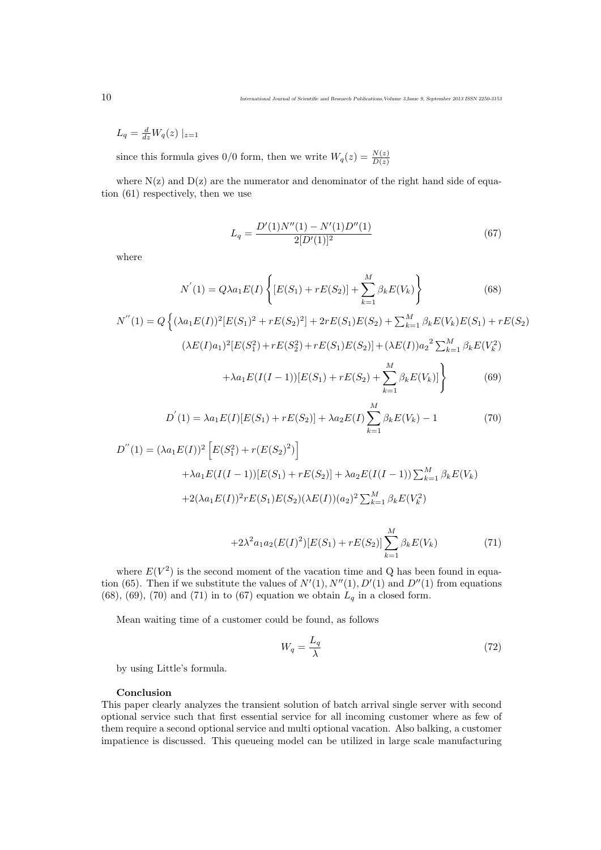$$
L_q = \frac{d}{dz} W_q(z) \mid_{z=1}
$$

since this formula gives  $0/0$  form, then we write  $W_q(z) = \frac{N(z)}{D(z)}$ 

where  $N(z)$  and  $D(z)$  are the numerator and denominator of the right hand side of equation (61) respectively, then we use

$$
L_q = \frac{D'(1)N''(1) - N'(1)D''(1)}{2[D'(1)]^2}
$$
\n(67)

where

$$
N'(1) = Q\lambda a_1 E(I) \left\{ [E(S_1) + rE(S_2)] + \sum_{k=1}^{M} \beta_k E(V_k) \right\}
$$
(68)

$$
N''(1) = Q\left\{ (\lambda a_1 E(I))^2 [E(S_1)^2 + rE(S_2)^2] + 2rE(S_1)E(S_2) + \sum_{k=1}^M \beta_k E(V_k)E(S_1) + rE(S_2)^2 \right\}
$$

$$
(\lambda E(I)a_1)^2 [E(S_1^2) + rE(S_2^2) + rE(S_1)E(S_2)] + (\lambda E(I))a_2^2 \sum_{k=1}^{M} \beta_k E(V_k^2)
$$

$$
+\lambda a_1 E(I(I-1))[E(S_1) + rE(S_2) + \sum_{k=1}^{M} \beta_k E(V_k)]\Big\}
$$
(69)

$$
D^{'}(1) = \lambda a_1 E(I)[E(S_1) + rE(S_2)] + \lambda a_2 E(I) \sum_{k=1}^{M} \beta_k E(V_k) - 1
$$
\n(70)

$$
D''(1) = (\lambda a_1 E(I))^2 \left[ E(S_1^2) + r(E(S_2)^2) \right]
$$
  
+  $\lambda a_1 E(I(I-1))[E(S_1) + rE(S_2)] + \lambda a_2 E(I(I-1)) \sum_{k=1}^M \beta_k E(V_k)$   
+  $2(\lambda a_1 E(I))^2 r E(S_1) E(S_2) (\lambda E(I))(a_2)^2 \sum_{k=1}^M \beta_k E(V_k^2)$ 

$$
+2\lambda^2 a_1 a_2(E(I)^2)[E(S_1)+rE(S_2)]\sum_{k=1}^M \beta_k E(V_k)
$$
\n(71)

where  $E(V^2)$  is the second moment of the vacation time and Q has been found in equation (65). Then if we substitute the values of  $N'(1)$ ,  $N''(1)$ ,  $D'(1)$  and  $D''(1)$  from equations (68), (69), (70) and (71) in to (67) equation we obtain  $L_q$  in a closed form.

Mean waiting time of a customer could be found, as follows

$$
W_q = \frac{L_q}{\lambda} \tag{72}
$$

by using Little's formula.

## Conclusion

This paper clearly analyzes the transient solution of batch arrival single server with second optional service such that first essential service for all incoming customer where as few of them require a second optional service and multi optional vacation. Also balking, a customer impatience is discussed. This queueing model can be utilized in large scale manufacturing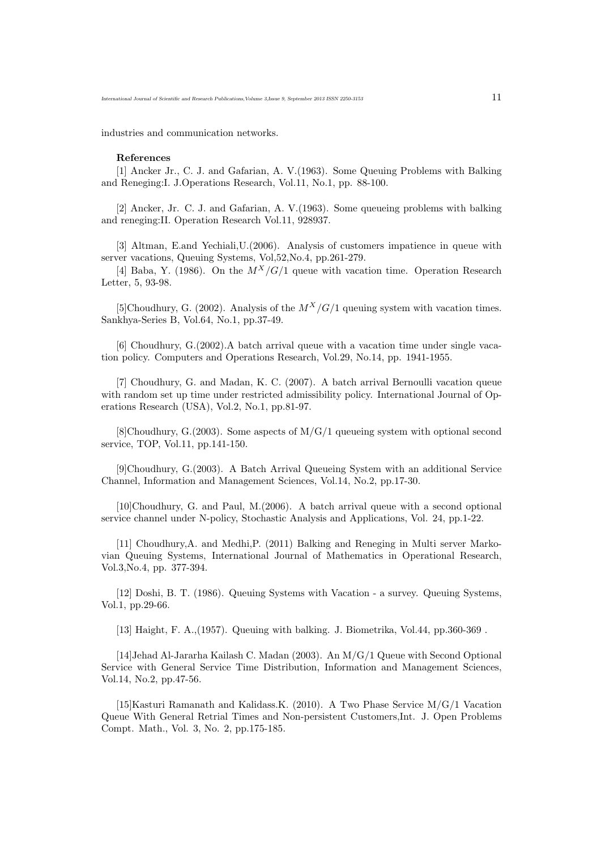industries and communication networks.

#### References

[1] Ancker Jr., C. J. and Gafarian, A. V.(1963). Some Queuing Problems with Balking and Reneging:I. J.Operations Research, Vol.11, No.1, pp. 88-100.

[2] Ancker, Jr. C. J. and Gafarian, A. V.(1963). Some queueing problems with balking and reneging:II. Operation Research Vol.11, 928937.

[3] Altman, E.and Yechiali,U.(2006). Analysis of customers impatience in queue with server vacations, Queuing Systems, Vol,52,No.4, pp.261-279.

[4] Baba, Y. (1986). On the  $M^X/G/1$  queue with vacation time. Operation Research Letter, 5, 93-98.

[5]Choudhury, G. (2002). Analysis of the  $M^X/G/1$  queuing system with vacation times. Sankhya-Series B, Vol.64, No.1, pp.37-49.

[6] Choudhury, G.(2002).A batch arrival queue with a vacation time under single vacation policy. Computers and Operations Research, Vol.29, No.14, pp. 1941-1955.

[7] Choudhury, G. and Madan, K. C. (2007). A batch arrival Bernoulli vacation queue with random set up time under restricted admissibility policy. International Journal of Operations Research (USA), Vol.2, No.1, pp.81-97.

[8]Choudhury,  $G(2003)$ . Some aspects of  $M/G/1$  queueing system with optional second service, TOP, Vol.11, pp.141-150.

[9]Choudhury, G.(2003). A Batch Arrival Queueing System with an additional Service Channel, Information and Management Sciences, Vol.14, No.2, pp.17-30.

[10]Choudhury, G. and Paul, M.(2006). A batch arrival queue with a second optional service channel under N-policy, Stochastic Analysis and Applications, Vol. 24, pp.1-22.

[11] Choudhury,A. and Medhi,P. (2011) Balking and Reneging in Multi server Markovian Queuing Systems, International Journal of Mathematics in Operational Research, Vol.3,No.4, pp. 377-394.

[12] Doshi, B. T. (1986). Queuing Systems with Vacation - a survey. Queuing Systems, Vol.1, pp.29-66.

[13] Haight, F. A.,(1957). Queuing with balking. J. Biometrika, Vol.44, pp.360-369 .

[14]Jehad Al-Jararha Kailash C. Madan (2003). An M/G/1 Queue with Second Optional Service with General Service Time Distribution, Information and Management Sciences, Vol.14, No.2, pp.47-56.

[15]Kasturi Ramanath and Kalidass.K. (2010). A Two Phase Service M/G/1 Vacation Queue With General Retrial Times and Non-persistent Customers,Int. J. Open Problems Compt. Math., Vol. 3, No. 2, pp.175-185.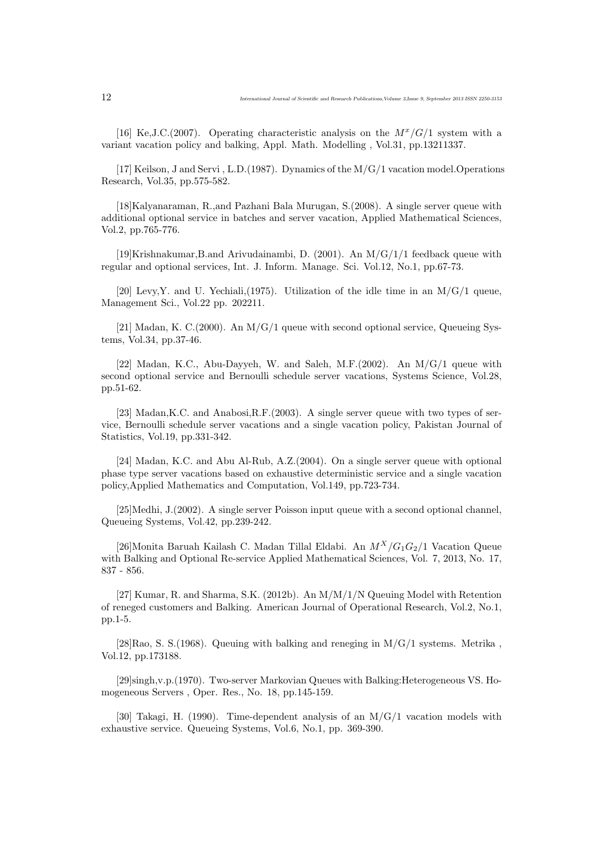[16] Ke,J.C.(2007). Operating characteristic analysis on the  $M^x/G/1$  system with a variant vacation policy and balking, Appl. Math. Modelling , Vol.31, pp.13211337.

[17] Keilson, J and Servi , L.D.(1987). Dynamics of the M/G/1 vacation model.Operations Research, Vol.35, pp.575-582.

[18]Kalyanaraman, R.,and Pazhani Bala Murugan, S.(2008). A single server queue with additional optional service in batches and server vacation, Applied Mathematical Sciences, Vol.2, pp.765-776.

[19]Krishnakumar,B.and Arivudainambi, D. (2001). An M/G/1/1 feedback queue with regular and optional services, Int. J. Inform. Manage. Sci. Vol.12, No.1, pp.67-73.

[20] Levy, Y. and U. Yechiali, (1975). Utilization of the idle time in an  $M/G/1$  queue, Management Sci., Vol.22 pp. 202211.

[21] Madan, K. C.(2000). An  $M/G/1$  queue with second optional service, Queueing Systems, Vol.34, pp.37-46.

[22] Madan, K.C., Abu-Dayyeh, W. and Saleh, M.F.(2002). An M/G/1 queue with second optional service and Bernoulli schedule server vacations, Systems Science, Vol.28, pp.51-62.

[23] Madan,K.C. and Anabosi,R.F.(2003). A single server queue with two types of service, Bernoulli schedule server vacations and a single vacation policy, Pakistan Journal of Statistics, Vol.19, pp.331-342.

[24] Madan, K.C. and Abu Al-Rub, A.Z.(2004). On a single server queue with optional phase type server vacations based on exhaustive deterministic service and a single vacation policy,Applied Mathematics and Computation, Vol.149, pp.723-734.

[25]Medhi, J.(2002). A single server Poisson input queue with a second optional channel, Queueing Systems, Vol.42, pp.239-242.

[26]Monita Baruah Kailash C. Madan Tillal Eldabi. An  $M^X/G_1G_2/1$  Vacation Queue with Balking and Optional Re-service Applied Mathematical Sciences, Vol. 7, 2013, No. 17, 837 - 856.

[27] Kumar, R. and Sharma, S.K. (2012b). An M/M/1/N Queuing Model with Retention of reneged customers and Balking. American Journal of Operational Research, Vol.2, No.1, pp.1-5.

[28]Rao, S. S.(1968). Queuing with balking and reneging in  $M/G/1$  systems. Metrika, Vol.12, pp.173188.

[29]singh,v.p.(1970). Two-server Markovian Queues with Balking:Heterogeneous VS. Homogeneous Servers , Oper. Res., No. 18, pp.145-159.

[30] Takagi, H. (1990). Time-dependent analysis of an M/G/1 vacation models with exhaustive service. Queueing Systems, Vol.6, No.1, pp. 369-390.